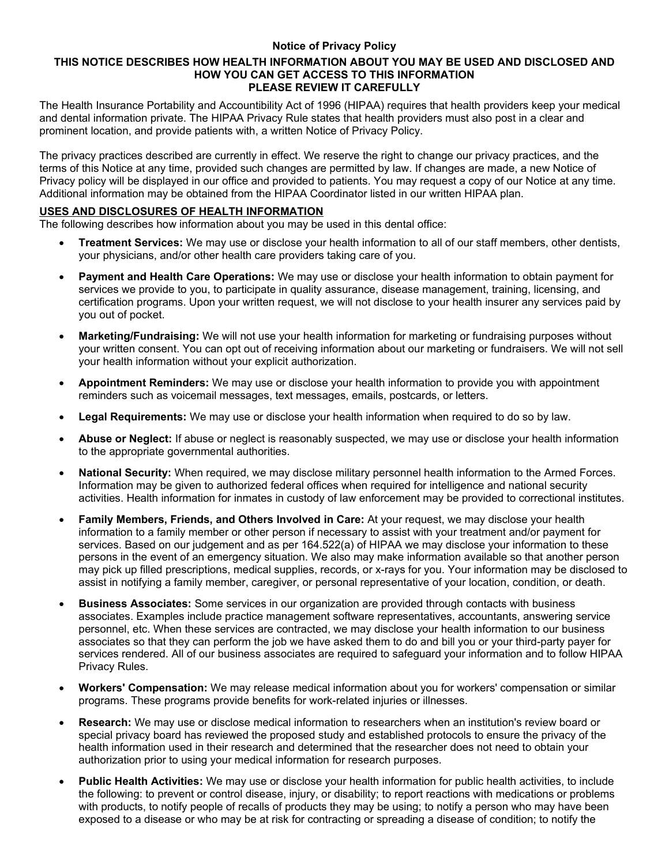#### **Notice of Privacy Policy**

#### **THIS NOTICE DESCRIBES HOW HEALTH INFORMATION ABOUT YOU MAY BE USED AND DISCLOSED AND HOW YOU CAN GET ACCESS TO THIS INFORMATION PLEASE REVIEW IT CAREFULLY**

The Health Insurance Portability and Accountibility Act of 1996 (HIPAA) requires that health providers keep your medical and dental information private. The HIPAA Privacy Rule states that health providers must also post in a clear and prominent location, and provide patients with, a written Notice of Privacy Policy.

The privacy practices described are currently in effect. We reserve the right to change our privacy practices, and the terms of this Notice at any time, provided such changes are permitted by law. If changes are made, a new Notice of Privacy policy will be displayed in our office and provided to patients. You may request a copy of our Notice at any time. Additional information may be obtained from the HIPAA Coordinator listed in our written HIPAA plan.

### **USES AND DISCLOSURES OF HEALTH INFORMATION**

The following describes how information about you may be used in this dental office:

- **Treatment Services:** We may use or disclose your health information to all of our staff members, other dentists, your physicians, and/or other health care providers taking care of you.
- **Payment and Health Care Operations:** We may use or disclose your health information to obtain payment for services we provide to you, to participate in quality assurance, disease management, training, licensing, and certification programs. Upon your written request, we will not disclose to your health insurer any services paid by you out of pocket.
- **Marketing/Fundraising:** We will not use your health information for marketing or fundraising purposes without your written consent. You can opt out of receiving information about our marketing or fundraisers. We will not sell your health information without your explicit authorization.
- **Appointment Reminders:** We may use or disclose your health information to provide you with appointment reminders such as voicemail messages, text messages, emails, postcards, or letters.
- **Legal Requirements:** We may use or disclose your health information when required to do so by law.
- **Abuse or Neglect:** If abuse or neglect is reasonably suspected, we may use or disclose your health information to the appropriate governmental authorities.
- **National Security:** When required, we may disclose military personnel health information to the Armed Forces. Information may be given to authorized federal offices when required for intelligence and national security activities. Health information for inmates in custody of law enforcement may be provided to correctional institutes.
- **Family Members, Friends, and Others Involved in Care:** At your request, we may disclose your health information to a family member or other person if necessary to assist with your treatment and/or payment for services. Based on our judgement and as per 164.522(a) of HIPAA we may disclose your information to these persons in the event of an emergency situation. We also may make information available so that another person may pick up filled prescriptions, medical supplies, records, or x-rays for you. Your information may be disclosed to assist in notifying a family member, caregiver, or personal representative of your location, condition, or death.
- **Business Associates:** Some services in our organization are provided through contacts with business associates. Examples include practice management software representatives, accountants, answering service personnel, etc. When these services are contracted, we may disclose your health information to our business associates so that they can perform the job we have asked them to do and bill you or your third-party payer for services rendered. All of our business associates are required to safeguard your information and to follow HIPAA Privacy Rules.
- **Workers' Compensation:** We may release medical information about you for workers' compensation or similar programs. These programs provide benefits for work-related injuries or illnesses.
- **Research:** We may use or disclose medical information to researchers when an institution's review board or special privacy board has reviewed the proposed study and established protocols to ensure the privacy of the health information used in their research and determined that the researcher does not need to obtain your authorization prior to using your medical information for research purposes.
- **Public Health Activities:** We may use or disclose your health information for public health activities, to include the following: to prevent or control disease, injury, or disability; to report reactions with medications or problems with products, to notify people of recalls of products they may be using; to notify a person who may have been exposed to a disease or who may be at risk for contracting or spreading a disease of condition; to notify the